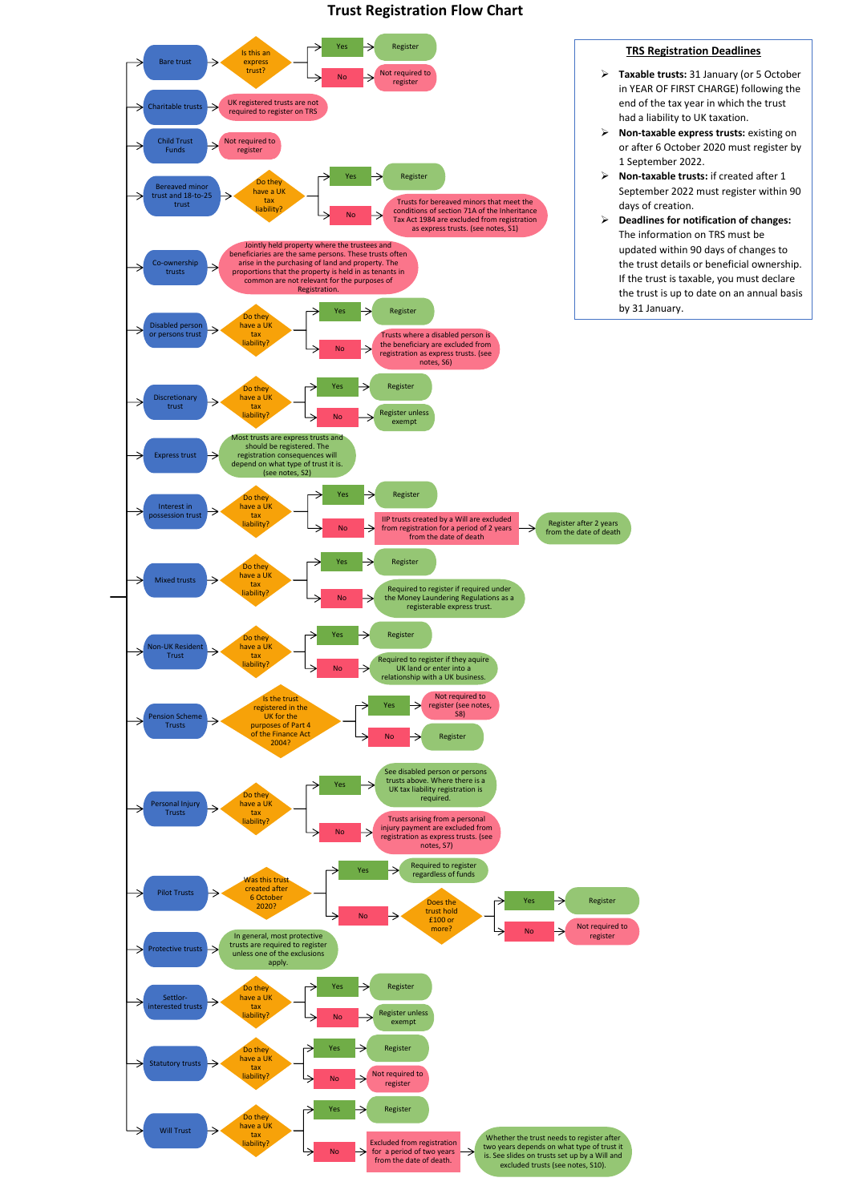## **Trust Registration Flow Chart**



## **TRS Registration Deadlines**

- **Taxable trusts:** 31 January (or 5 October in YEAR OF FIRST CHARGE) following the end of the tax year in which the trust had a liability to UK taxation.
- **Non-taxable express trusts:** existing on or after 6 October 2020 must register by 1 September 2022.
- **Non-taxable trusts:** if created after 1 September 2022 must register within 90 days of creation.
- **Deadlines for notification of changes:** The information on TRS must be updated within 90 days of changes to the trust details or beneficial ownership. If the trust is taxable, you must declare the trust is up to date on an annual basis by 31 January.